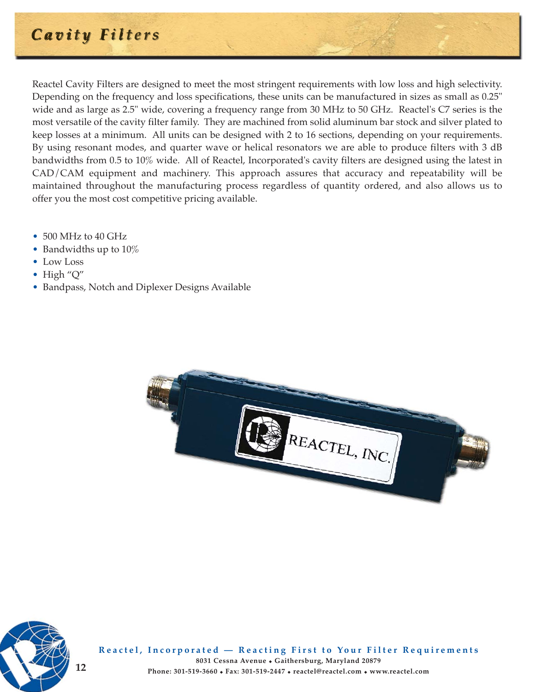# **Cavity Filters**

Reactel Cavity Filters are designed to meet the most stringent requirements with low loss and high selectivity. Depending on the frequency and loss specifications, these units can be manufactured in sizes as small as 0.25" wide and as large as 2.5" wide, covering a frequency range from 30 MHz to 50 GHz. Reactel's C7 series is the most versatile of the cavity filter family. They are machined from solid aluminum bar stock and silver plated to keep losses at a minimum. All units can be designed with 2 to 16 sections, depending on your requirements. By using resonant modes, and quarter wave or helical resonators we are able to produce filters with 3 dB bandwidths from 0.5 to 10% wide. All of Reactel, Incorporated's cavity filters are designed using the latest in CAD/CAM equipment and machinery. This approach assures that accuracy and repeatability will be maintained throughout the manufacturing process regardless of quantity ordered, and also allows us to offer you the most cost competitive pricing available.

- 500 MHz to 40 GHz
- Bandwidths up to 10%
- Low Loss
- High "Q"
- Bandpass, Notch and Diplexer Designs Available





**Reactel, Incorporated — Reacting First to Your Filter Requirements 8031 Cessna Avenue** - **Gaithersburg, Maryland 20879 12 Phone: 301-519-3660** - **Fax: 301-519-2447** - **reactel@reactel.com** - **www.reactel.com**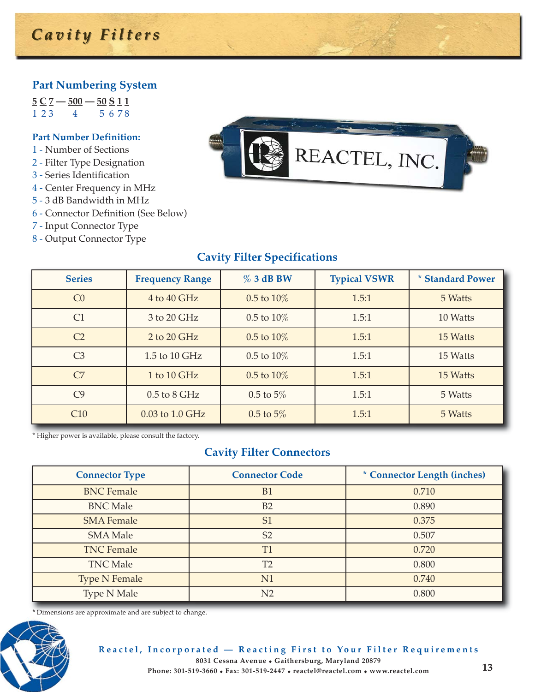#### **Part Numbering System**

**5 C 7 — 500 — 50 S 1 1**  $1 23 4 56 78$ 

#### **Part Number Definition:**

- 1 Number of Sections
- 2 Filter Type Designation
- 3 Series Identification
- 4 Center Frequency in MHz
- 5 3 dB Bandwidth in MHz
- 6 Connector Definition (See Below)
- 7 Input Connector Type
- 8 Output Connector Type



### **Cavity Filter Specifications**

| <b>Series</b>   | <b>Frequency Range</b> | $%3$ dB BW      | <b>Typical VSWR</b> | * Standard Power |
|-----------------|------------------------|-----------------|---------------------|------------------|
| CO              | 4 to 40 GHz            | $0.5$ to $10\%$ | 1.5:1               | 5 Watts          |
| C1              | 3 to 20 GHz            | $0.5$ to $10\%$ | 1.5:1               | 10 Watts         |
| C <sub>2</sub>  | 2 to 20 GHz            | $0.5$ to $10\%$ | 1.5:1               | 15 Watts         |
| C <sub>3</sub>  | 1.5 to 10 $GHz$        | $0.5$ to $10\%$ | 1.5:1               | 15 Watts         |
| C7              | 1 to 10 $GHz$          | $0.5$ to $10\%$ | 1.5:1               | 15 Watts         |
| C <sub>9</sub>  | $0.5$ to $8$ GHz       | $0.5$ to $5\%$  | 1.5:1               | 5 Watts          |
| C <sub>10</sub> | 0.03 to 1.0 GHz        | $0.5$ to $5\%$  | 1.5:1               | 5 Watts          |

\* Higher power is available, please consult the factory.

#### **Cavity Filter Connectors**

| <b>Connector Type</b> | <b>Connector Code</b> | * Connector Length (inches) |  |
|-----------------------|-----------------------|-----------------------------|--|
| <b>BNC</b> Female     | <b>B1</b>             | 0.710                       |  |
| <b>BNC Male</b>       | B2                    | 0.890                       |  |
| <b>SMA Female</b>     | S <sub>1</sub>        | 0.375                       |  |
| <b>SMA Male</b>       | S <sub>2</sub>        | 0.507                       |  |
| <b>TNC Female</b>     | T <sub>1</sub>        | 0.720                       |  |
| <b>TNC Male</b>       | T <sub>2</sub>        | 0.800                       |  |
| <b>Type N Female</b>  | N1                    | 0.740                       |  |
| <b>Type N Male</b>    | N <sub>2</sub>        | 0.800                       |  |

\* Dimensions are approximate and are subject to change.



**Reactel, Incorporated — Reacting First to Your Filter Requirements 8031 Cessna Avenue** - **Gaithersburg, Maryland 20879 Phone: 301-519-3660** - **Fax: 301-519-2447** - **reactel@reactel.com** - **www.reactel.com 13**